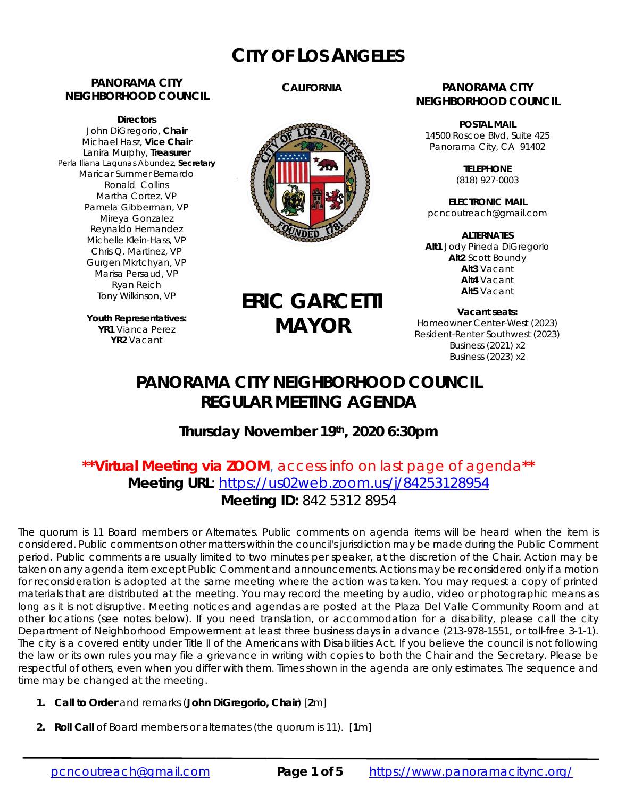# **CITY OF LOS ANGELES**

# **PANORAMA CITY NEIGHBORHOOD COUNCIL**

**Directors**  John DiGregorio, **Chair** Michael Hasz, **Vice Chair** Lanira Murphy, **Treasurer** Perla Iliana Lagunas Abundez, **Secretary** Maricar Summer Bernardo Ronald Collins Martha Cortez, VP Pamela Gibberman, VP Mireya Gonzalez Reynaldo Hernandez Michelle Klein-Hass, VP Chris Q. Martinez, VP Gurgen Mkrtchyan, VP Marisa Persaud, VP Ryan Reich Tony Wilkinson, VP

> **Youth Representatives: YR1** Vianca Perez **YR2** Vacant

# **CALIFORNIA**



#### **PANORAMA CITY NEIGHBORHOOD COUNCIL**

**POSTAL MAIL** 14500 Roscoe Blvd, Suite 425 Panorama City, CA 91402

> **TELEPHONE** (818) 927-0003

**ELECTRONIC MAIL** pcncoutreach@gmail.com

**ALTERNATES Alt1** Jody Pineda DiGregorio **Alt2** Scott Boundy **Alt3** Vacant **Alt4** Vacant **Alt5** Vacant

**Vacant seats:**  Homeowner Center-West (2023) Resident-Renter Southwest (2023) Business (2021) x2 Business (2023) x2

# **PANORAMA CITY NEIGHBORHOOD COUNCIL REGULAR MEETING AGENDA**

**ERIC GARCETTI**

**MAYOR**

# **Thursday November 19th, 2020 6:30pm**

# **\*\*Virtual Meeting via ZOOM**, access info on last page of agenda**\*\* Meeting URL**: https://us02web.zoom.us/j/84253128954 **Meeting ID:** 842 5312 8954

The quorum is 11 Board members or Alternates. Public comments on agenda items will be heard when the item is considered. Public comments on other matters within the council's jurisdiction may be made during the Public Comment period. Public comments are usually limited to two minutes per speaker, at the discretion of the Chair. Action may be taken on any agenda item except Public Comment and announcements. Actions may be reconsidered only if a motion for reconsideration is adopted at the same meeting where the action was taken. You may request a copy of printed materials that are distributed at the meeting. You may record the meeting by audio, video or photographic means as long as it is not disruptive. Meeting notices and agendas are posted at the Plaza Del Valle Community Room and at other locations (see notes below). If you need translation, or accommodation for a disability, please call the city Department of Neighborhood Empowerment at least three business days in advance (213-978-1551, or toll-free 3-1-1). The city is a covered entity under Title II of the Americans with Disabilities Act. If you believe the council is not following the law or its own rules you may file a grievance in writing with copies to both the Chair and the Secretary. Please be respectful of others, even when you differ with them. Times shown in the agenda are only estimates. The sequence and time may be changed at the meeting.

- **1. Call to Order** and remarks (*John DiGregorio***, Chair**) [**2**m]
- **2. Roll Call** of Board members or alternates (the quorum is 11). [**1**m]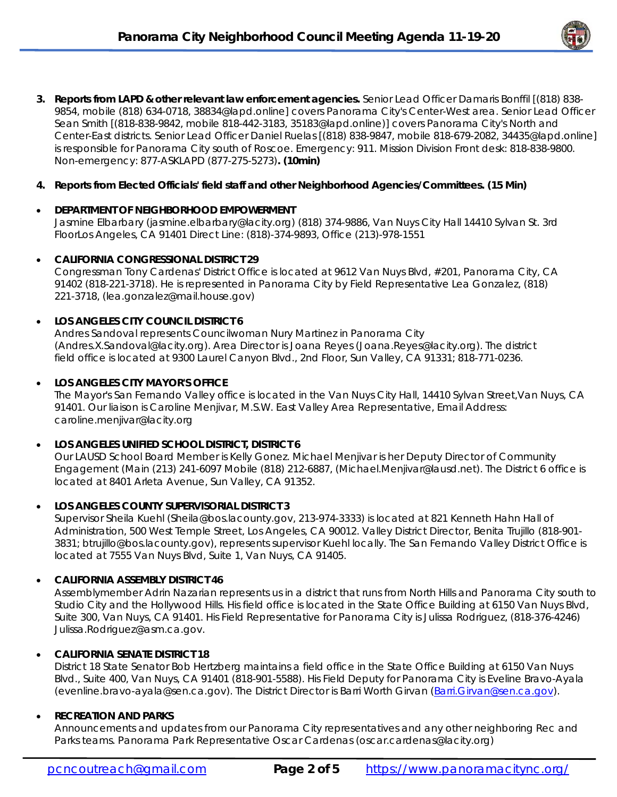

**3. Reports from LAPD & other relevant law enforcement agencies.** Senior Lead Officer Damaris Bonffil [(818) 838- 9854, mobile (818) 634-0718, 38834@lapd.online] covers Panorama City's Center-West area. Senior Lead Officer Sean Smith [(818-838-9842, mobile 818-442-3183, 35183@lapd.online)] covers Panorama City's North and Center-East districts. Senior Lead Officer Daniel Ruelas [(818) 838-9847, mobile 818-679-2082, 34435@lapd.online] is responsible for Panorama City south of Roscoe. Emergency: 911. Mission Division Front desk: 818-838-9800. Non-emergency: 877-ASKLAPD (877-275-5273)**. (10min)**

### **4. Reports from Elected Officials' field staff and other Neighborhood Agencies/Committees. (15 Min)**

# **DEPARTMENT OF NEIGHBORHOOD EMPOWERMENT**

Jasmine Elbarbary (jasmine.elbarbary@lacity.org) (818) 374-9886, Van Nuys City Hall 14410 Sylvan St. 3rd FloorLos Angeles, CA 91401 Direct Line: (818)-374-9893, Office (213)-978-1551

#### **CALIFORNIA CONGRESSIONAL DISTRICT 29**

Congressman Tony Cardenas' District Office is located at 9612 Van Nuys Blvd, #201, Panorama City, CA 91402 (818-221-3718). He is represented in Panorama City by Field Representative Lea Gonzalez, (818) 221-3718, (lea.gonzalez@mail.house.gov)

#### **LOS ANGELES CITY COUNCIL DISTRICT 6**

Andres Sandoval represents Councilwoman Nury Martinez in Panorama City (Andres.X.Sandoval@lacity.org). Area Director is Joana Reyes (Joana.Reyes@lacity.org). The district field office is located at 9300 Laurel Canyon Blvd., 2nd Floor, Sun Valley, CA 91331; 818-771-0236.

#### **LOS ANGELES CITY MAYOR'S OFFICE**

The Mayor's San Fernando Valley office is located in the Van Nuys City Hall, 14410 Sylvan Street,Van Nuys, CA 91401. Our liaison is Caroline Menjivar, M.S.W. East Valley Area Representative, Email Address: caroline.menjivar@lacity.org

#### **LOS ANGELES UNIFIED SCHOOL DISTRICT, DISTRICT 6**

Our LAUSD School Board Member is Kelly Gonez. Michael Menjivar is her Deputy Director of Community Engagement (Main (213) 241-6097 Mobile (818) 212-6887, (Michael.Menjivar@lausd.net). The District 6 office is located at 8401 Arleta Avenue, Sun Valley, CA 91352.

#### **LOS ANGELES COUNTY SUPERVISORIAL DISTRICT 3**

Supervisor Sheila Kuehl (Sheila@bos.lacounty.gov, 213-974-3333) is located at 821 Kenneth Hahn Hall of Administration, 500 West Temple Street, Los Angeles, CA 90012. Valley District Director, Benita Trujillo (818-901- 3831; btrujillo@bos.lacounty.gov), represents supervisor Kuehl locally. The San Fernando Valley District Office is located at 7555 Van Nuys Blvd, Suite 1, Van Nuys, CA 91405.

#### **CALIFORNIA ASSEMBLY DISTRICT 46**

Assemblymember Adrin Nazarian represents us in a district that runs from North Hills and Panorama City south to Studio City and the Hollywood Hills. His field office is located in the State Office Building at 6150 Van Nuys Blvd, Suite 300, Van Nuys, CA 91401. His Field Representative for Panorama City is Julissa Rodriguez, (818-376-4246) Julissa.Rodriguez@asm.ca.gov.

# **CALIFORNIA SENATE DISTRICT 18**

District 18 State Senator Bob Hertzberg maintains a field office in the State Office Building at 6150 Van Nuys Blvd., Suite 400, Van Nuys, CA 91401 (818-901-5588). His Field Deputy for Panorama City is Eveline Bravo-Ayala (evenline.bravo-ayala@sen.ca.gov). The District Director is Barri Worth Girvan (Barri.Girvan@sen.ca.gov).

#### **RECREATION AND PARKS**

Announcements and updates from our Panorama City representatives and any other neighboring Rec and Parks teams. Panorama Park Representative Oscar Cardenas (oscar.cardenas@lacity.org)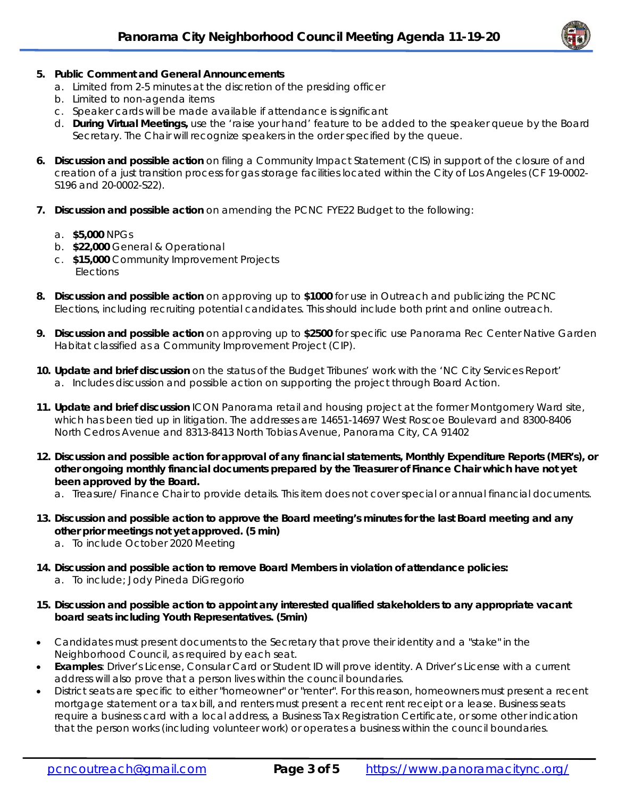

### **5. Public Comment and General Announcements**

- a. Limited from 2-5 minutes at the discretion of the presiding officer
- b. Limited to non-agenda items
- c. Speaker cards will be made available if attendance is significant
- d. **During Virtual Meetings,** use the 'raise your hand' feature to be added to the speaker queue by the Board Secretary. The Chair will recognize speakers in the order specified by the queue.
- **6. Discussion and possible action** on filing a Community Impact Statement (CIS) in support of the closure of and creation of a just transition process for gas storage facilities located within the City of Los Angeles (CF 19-0002- S196 and 20-0002-S22).
- **7. Discussion and possible action** on amending the PCNC FYE22 Budget to the following:
	- a. **\$5,000** NPGs
	- b. **\$22,000** General & Operational
	- c. **\$15,000** Community Improvement Projects **Elections**
- **8. Discussion and possible action** on approving up to **\$1000** for use in Outreach and publicizing the PCNC Elections, including recruiting potential candidates. This should include both print and online outreach.
- **9. Discussion and possible action** on approving up to **\$2500** for specific use Panorama Rec Center *Native Garden Habitat* classified as a Community Improvement Project (CIP).
- **10. Update and brief discussion** on the status of the Budget Tribunes' work with the 'NC City Services Report' a. Includes discussion and possible action on supporting the project through Board Action.
- **11. Update and brief discussion** ICON Panorama retail and housing project at the former Montgomery Ward site, which has been tied up in litigation. The addresses are 14651-14697 West Roscoe Boulevard and 8300-8406 North Cedros Avenue and 8313-8413 North Tobias Avenue, Panorama City, CA 91402
- **12. Discussion and possible action for approval of any financial statements, Monthly Expenditure Reports (MER's), or other ongoing monthly financial documents prepared by the Treasurer of Finance Chair which have not yet been approved by the Board.** 
	- a. Treasure/ Finance Chair to provide details. This item does not cover special or annual financial documents.
- **13. Discussion and possible action to approve the Board meeting's minutes for the last Board meeting and any other prior meetings not yet approved. (5 min)** 
	- a. To include October 2020 Meeting
- **14. Discussion and possible action to remove Board Members in violation of attendance policies:**  a. To include; Jody Pineda DiGregorio
- **15. Discussion and possible action to appoint any interested qualified stakeholders to any appropriate vacant board seats including Youth Representatives. (5min)**
- Candidates must present documents to the Secretary that prove their identity and a "stake" in the Neighborhood Council, as required by each seat.
- **Examples**: Driver's License, Consular Card or Student ID will prove identity. A Driver's License with a current address will also prove that a person lives within the council boundaries.
- District seats are specific to either "homeowner" or "renter". For this reason, homeowners must present a recent mortgage statement or a tax bill, and renters must present a recent rent receipt or a lease. Business seats require a business card with a local address, a Business Tax Registration Certificate, or some other indication that the person works (including volunteer work) or operates a business within the council boundaries.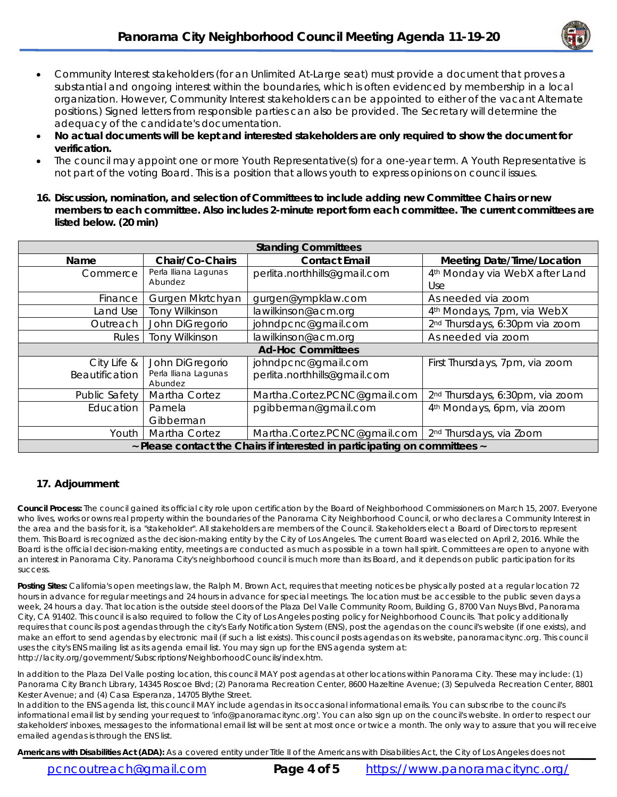

- Community Interest stakeholders (for an Unlimited At-Large seat) must provide a document that proves a substantial and ongoing interest within the boundaries, which is often evidenced by membership in a local organization. However, Community Interest stakeholders can be appointed to either of the vacant Alternate positions.) Signed letters from responsible parties can also be provided. The Secretary will determine the adequacy of the candidate's documentation.
- **No actual documents will be kept and interested stakeholders are only required to show the document for verification.**
- The council may appoint one or more Youth Representative(s) for a one-year term. A Youth Representative is not part of the voting Board. This is a position that allows youth to express opinions on council issues.
- **16. Discussion, nomination, and selection of Committees to include adding new Committee Chairs or new members to each committee. Also includes 2-minute report form each committee. The current committees are listed below. (20 min)**

| <b>Standing Committees</b>                                                 |                                                    |                                                     |                                                   |
|----------------------------------------------------------------------------|----------------------------------------------------|-----------------------------------------------------|---------------------------------------------------|
| Name                                                                       | Chair/Co-Chairs                                    | <b>Contact Email</b>                                | <b>Meeting Date/Time/Location</b>                 |
| Commerce                                                                   | Perla Iliana Lagunas<br>Abundez                    | perlita.northhills@gmail.com                        | 4 <sup>th</sup> Monday via WebX after Land<br>Use |
| Finance                                                                    | Gurgen Mkrtchyan                                   | gurgen@ympklaw.com                                  | As needed via zoom                                |
| Land Use                                                                   | <b>Tony Wilkinson</b>                              | lawilkinson@acm.org                                 | 4 <sup>th</sup> Mondays, 7pm, via WebX            |
| Outreach                                                                   | John DiGregorio                                    | johndpcnc@gmail.com                                 | 2 <sup>nd</sup> Thursdays, 6:30pm via zoom        |
| Rules                                                                      | <b>Tony Wilkinson</b>                              | lawilkinson@acm.org                                 | As needed via zoom                                |
| <b>Ad-Hoc Committees</b>                                                   |                                                    |                                                     |                                                   |
| City Life &<br>Beautification                                              | John DiGregorio<br>Perla Iliana Lagunas<br>Abundez | johndpcnc@gmail.com<br>perlita.northhills@gmail.com | First Thursdays, 7pm, via zoom                    |
| Public Safety                                                              | Martha Cortez                                      | Martha.Cortez.PCNC@gmail.com                        | 2 <sup>nd</sup> Thursdays, 6:30pm, via zoom       |
| Education                                                                  | Pamela<br>Gibberman                                | pgibberman@gmail.com                                | 4 <sup>th</sup> Mondays, 6pm, via zoom            |
| Youth                                                                      | Martha Cortez                                      | Martha.Cortez.PCNC@gmail.com                        | 2 <sup>nd</sup> Thursdays, via Zoom               |
| ~ Please contact the Chairs if interested in participating on committees ~ |                                                    |                                                     |                                                   |

#### **17. Adjournment**

**Council Process:** The council gained its official city role upon certification by the Board of Neighborhood Commissioners on March 15, 2007. Everyone who lives, works or owns real property within the boundaries of the Panorama City Neighborhood Council, or who declares a Community Interest in the area and the basis for it, is a "stakeholder". All stakeholders are members of the Council. Stakeholders elect a Board of Directors to represent them. This Board is recognized as the decision-making entity by the City of Los Angeles. The current Board was elected on April 2, 2016. While the Board is the official decision-making entity, meetings are conducted as much as possible in a town hall spirit. Committees are open to anyone with an interest in Panorama City. Panorama City's neighborhood council is much more than its Board, and it depends on public participation for its success.

**Posting Sites:** California's open meetings law, the Ralph M. Brown Act, requires that meeting notices be physically posted at a regular location 72 hours in advance for regular meetings and 24 hours in advance for special meetings. The location must be accessible to the public seven days a week, 24 hours a day. That location is the outside steel doors of the Plaza Del Valle Community Room, Building G, 8700 Van Nuys Blvd, Panorama City, CA 91402. This council is also required to follow the City of Los Angeles posting policy for Neighborhood Councils. That policy additionally requires that councils post agendas through the city's Early Notification System (ENS), post the agendas on the council's website (if one exists), and make an effort to send agendas by electronic mail (if such a list exists). This council posts agendas on its website, panoramacitync.org. This council uses the city's ENS mailing list as its agenda email list. You may sign up for the ENS agenda system at: http://lacity.org/government/Subscriptions/NeighborhoodCouncils/index.htm.

In addition to the Plaza Del Valle posting location, this council MAY post agendas at other locations within Panorama City. These may include: (1) Panorama City Branch Library, 14345 Roscoe Blvd; (2) Panorama Recreation Center, 8600 Hazeltine Avenue; (3) Sepulveda Recreation Center, 8801 Kester Avenue; and (4) Casa Esperanza, 14705 Blythe Street.

In addition to the ENS agenda list, this council MAY include agendas in its occasional informational emails. You can subscribe to the council's informational email list by sending your request to 'info@panoramacitync.org'. You can also sign up on the council's website. In order to respect our stakeholders' inboxes, messages to the informational email list will be sent at most once or twice a month. *The only way to assure that you will receive emailed agendas is through the ENS list.* 

Americans with Disabilities Act (ADA): As a covered entity under Title II of the Americans with Disabilities Act, the City of Los Angeles does not